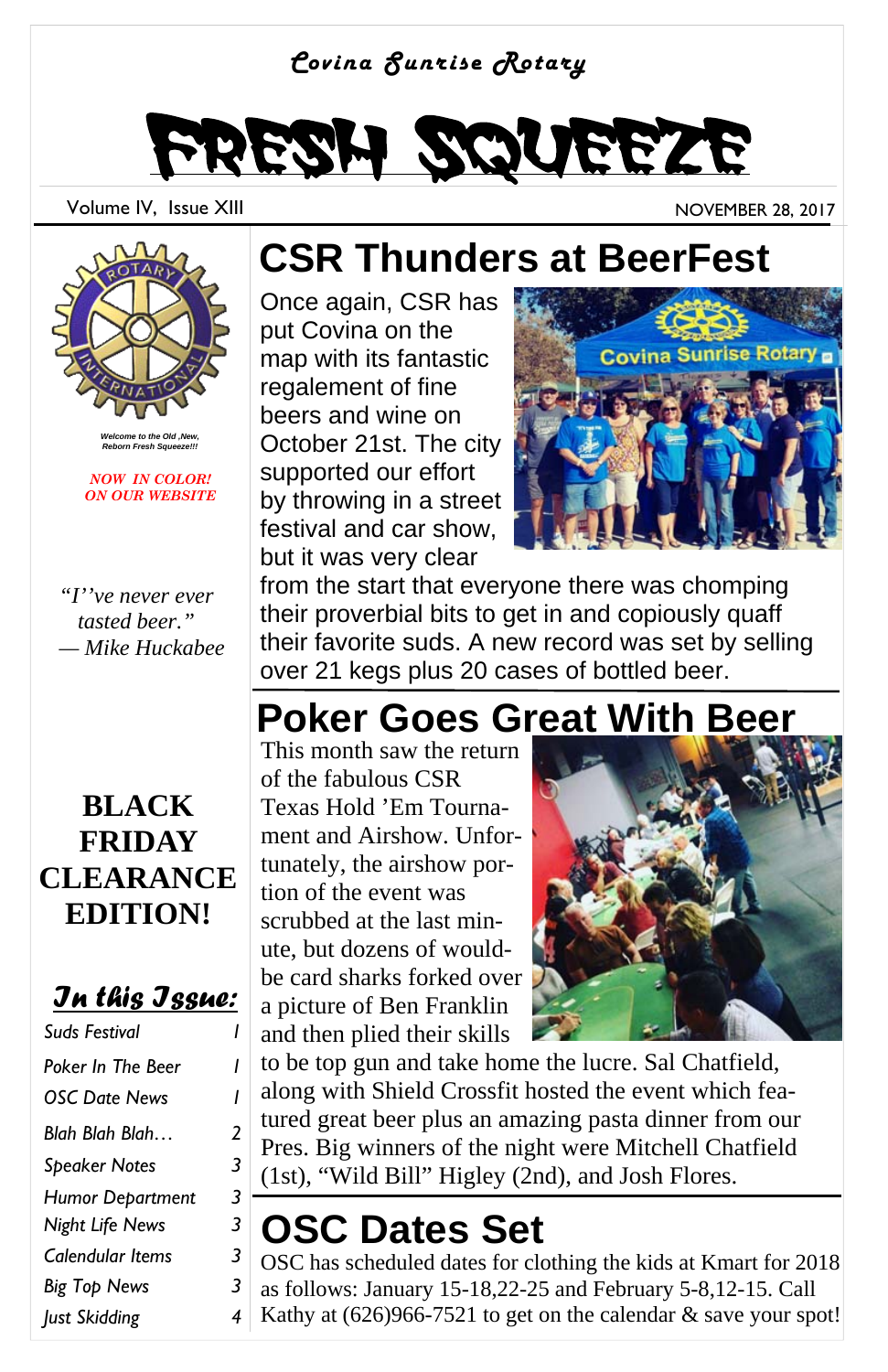#### *Covina Sunrise Rotary*



Volume IV, Issue XIII November 28, 2017



*Welcome to the Old ,New, Reborn Fresh Squeeze!!!* 

*NOW IN COLOR! ON OUR WEBSITE* 

*"I''ve never ever tasted beer." — Mike Huckabee* 

### **BLACK FRIDAY CLEARANCE EDITION!**

### *In this Issue:*

| Suds Festival            |   |
|--------------------------|---|
| <b>Poker In The Beer</b> | ı |
| <b>OSC Date News</b>     | ı |
| Blah Blah Blah           | 2 |
| <b>Speaker Notes</b>     | 3 |
| <b>Humor Department</b>  | 3 |
| Night Life News          | 3 |
| Calendular Items         | 3 |
| <b>Big Top News</b>      | 3 |
| Just Skidding            | 4 |

# **CSR Thunders at BeerFest**

Once again, CSR has put Covina on the map with its fantastic regalement of fine beers and wine on October 21st. The city supported our effort by throwing in a street festival and car show, but it was very clear



from the start that everyone there was chomping their proverbial bits to get in and copiously quaff their favorite suds. A new record was set by selling over 21 kegs plus 20 cases of bottled beer.

## **Poker Goes Great With Beer**

This month saw the return of the fabulous CSR Texas Hold 'Em Tournament and Airshow. Unfortunately, the airshow portion of the event was scrubbed at the last minute, but dozens of wouldbe card sharks forked over a picture of Ben Franklin and then plied their skills



to be top gun and take home the lucre. Sal Chatfield, along with Shield Crossfit hosted the event which featured great beer plus an amazing pasta dinner from our Pres. Big winners of the night were Mitchell Chatfield (1st), "Wild Bill" Higley (2nd), and Josh Flores.

# **OSC Dates Set**

OSC has scheduled dates for clothing the kids at Kmart for 2018 as follows: January 15-18,22-25 and February 5-8,12-15. Call Kathy at (626)966-7521 to get on the calendar & save your spot!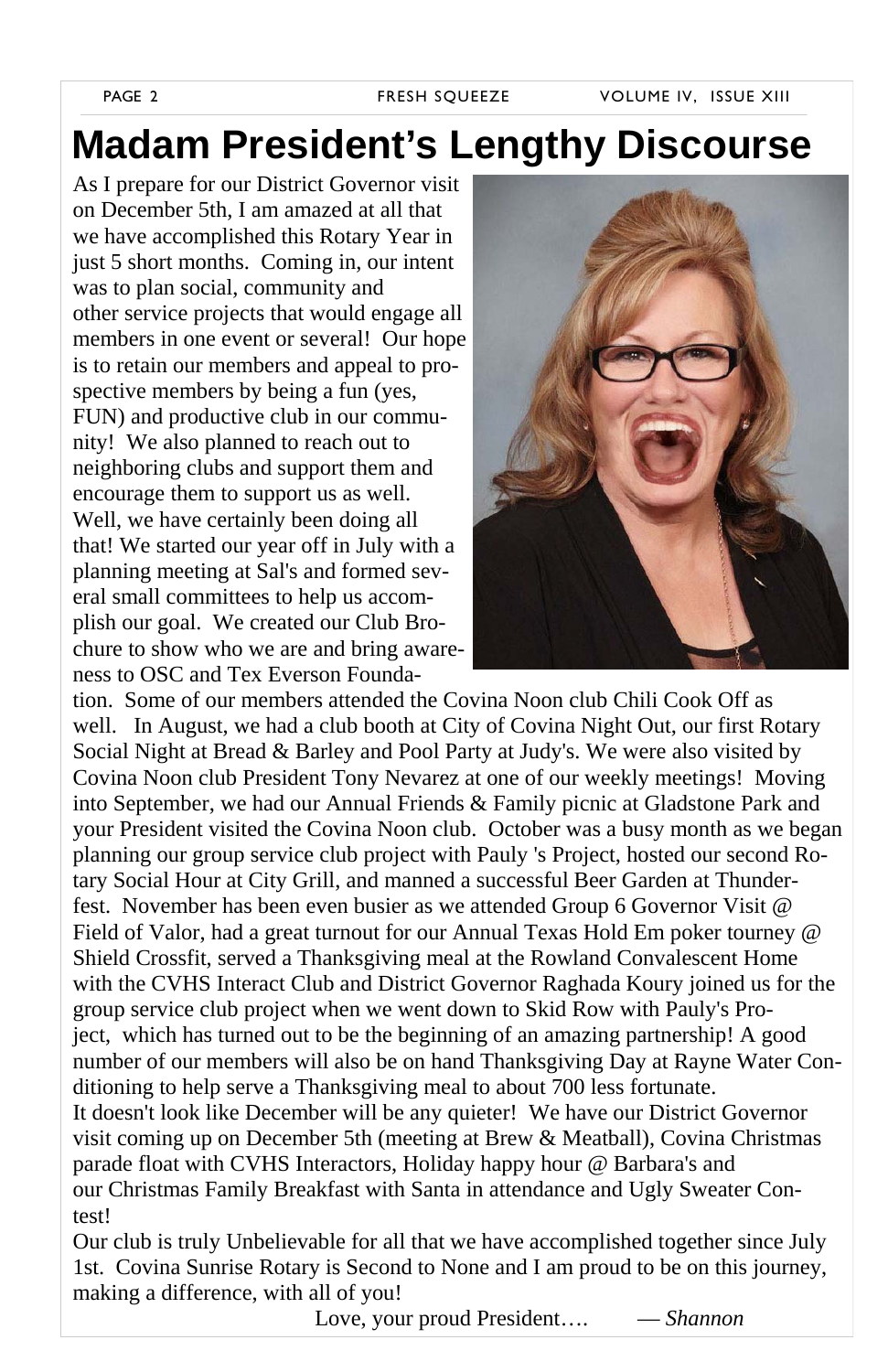## **Madam President's Lengthy Discourse**

As I prepare for our District Governor visit on December 5th, I am amazed at all that we have accomplished this Rotary Year in just 5 short months. Coming in, our intent was to plan social, community and other service projects that would engage all members in one event or several! Our hope is to retain our members and appeal to prospective members by being a fun (yes, FUN) and productive club in our community! We also planned to reach out to neighboring clubs and support them and encourage them to support us as well. Well, we have certainly been doing all that! We started our year off in July with a planning meeting at Sal's and formed several small committees to help us accomplish our goal. We created our Club Brochure to show who we are and bring awareness to OSC and Tex Everson Founda-



tion. Some of our members attended the Covina Noon club Chili Cook Off as well. In August, we had a club booth at City of Covina Night Out, our first Rotary Social Night at Bread & Barley and Pool Party at Judy's. We were also visited by Covina Noon club President Tony Nevarez at one of our weekly meetings! Moving into September, we had our Annual Friends & Family picnic at Gladstone Park and your President visited the Covina Noon club. October was a busy month as we began planning our group service club project with Pauly 's Project, hosted our second Rotary Social Hour at City Grill, and manned a successful Beer Garden at Thunderfest. November has been even busier as we attended Group 6 Governor Visit @ Field of Valor, had a great turnout for our Annual Texas Hold Em poker tourney @ Shield Crossfit, served a Thanksgiving meal at the Rowland Convalescent Home with the CVHS Interact Club and District Governor Raghada Koury joined us for the group service club project when we went down to Skid Row with Pauly's Project, which has turned out to be the beginning of an amazing partnership! A good number of our members will also be on hand Thanksgiving Day at Rayne Water Conditioning to help serve a Thanksgiving meal to about 700 less fortunate. It doesn't look like December will be any quieter! We have our District Governor visit coming up on December 5th (meeting at Brew & Meatball), Covina Christmas parade float with CVHS Interactors, Holiday happy hour @ Barbara's and our Christmas Family Breakfast with Santa in attendance and Ugly Sweater Contest!

Our club is truly Unbelievable for all that we have accomplished together since July 1st. Covina Sunrise Rotary is Second to None and I am proud to be on this journey, making a difference, with all of you!

Love, your proud President…. — *Shannon*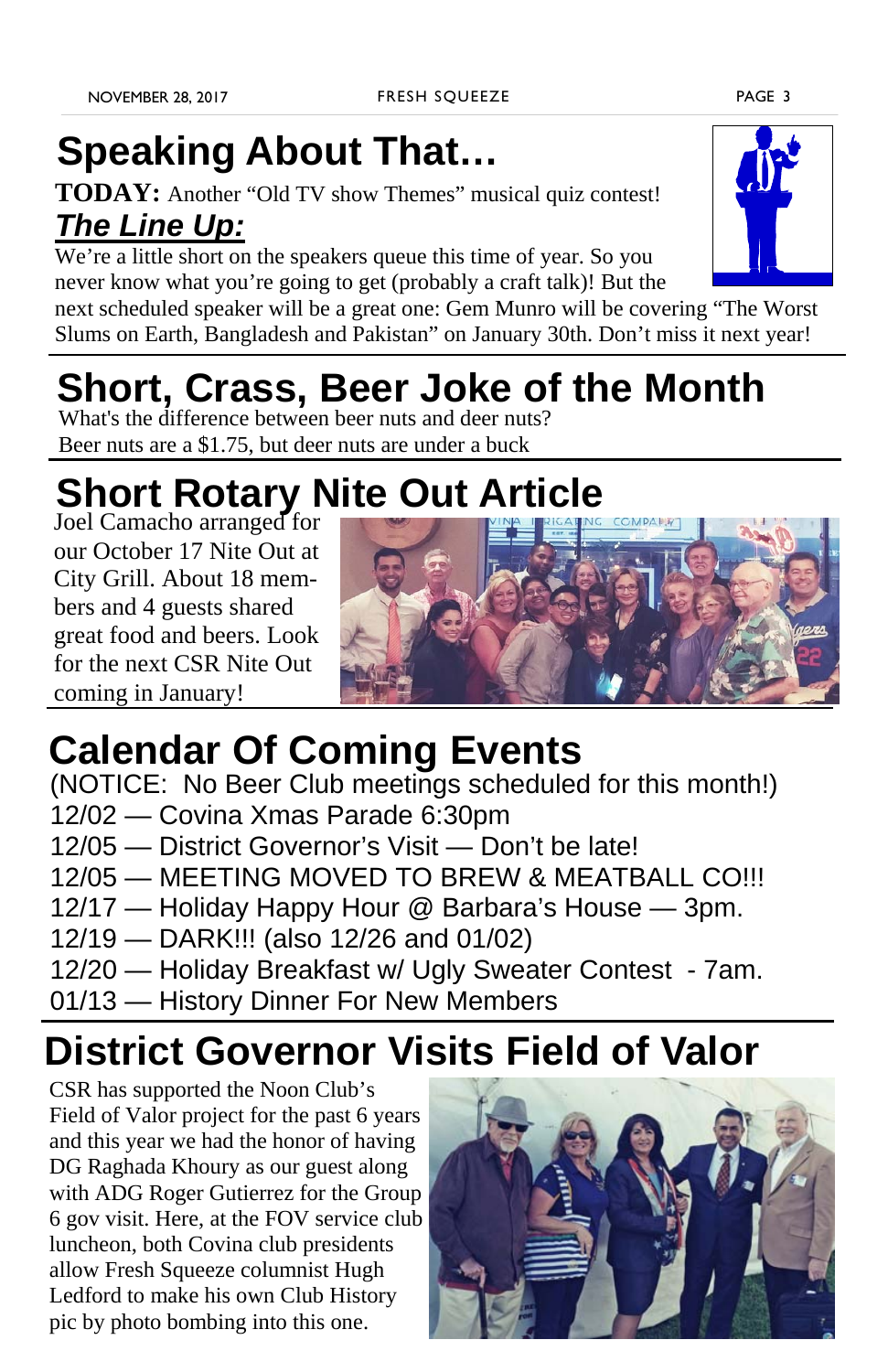# **Speaking About That…**

**TODAY:** Another "Old TV show Themes" musical quiz contest! *The Line Up:*

We're a little short on the speakers queue this time of year. So you never know what you're going to get (probably a craft talk)! But the

next scheduled speaker will be a great one: Gem Munro will be covering "The Worst Slums on Earth, Bangladesh and Pakistan" on January 30th. Don't miss it next year!

# **Short, Crass, Beer Joke of the Month**

What's the difference between beer nuts and deer nuts? Beer nuts are a \$1.75, but deer nuts are under a buck

# **Short Rotary Nite Out Article**

Joel Camacho arranged for our October 17 Nite Out at City Grill. About 18 members and 4 guests shared great food and beers. Look for the next CSR Nite Out coming in January!



## **Calendar Of Coming Events**

(NOTICE: No Beer Club meetings scheduled for this month!)

- 12/02 Covina Xmas Parade 6:30pm
- 12/05 District Governor's Visit Don't be late!
- 12/05 MEETING MOVED TO BREW & MEATBALL CO!!!
- 12/17 Holiday Happy Hour @ Barbara's House 3pm.
- 12/19 DARK!!! (also 12/26 and 01/02)
- 12/20 Holiday Breakfast w/ Ugly Sweater Contest 7am.
- 01/13 History Dinner For New Members

# **District Governor Visits Field of Valor**

CSR has supported the Noon Club's Field of Valor project for the past 6 years and this year we had the honor of having DG Raghada Khoury as our guest along with ADG Roger Gutierrez for the Group 6 gov visit. Here, at the FOV service club luncheon, both Covina club presidents allow Fresh Squeeze columnist Hugh Ledford to make his own Club History pic by photo bombing into this one.